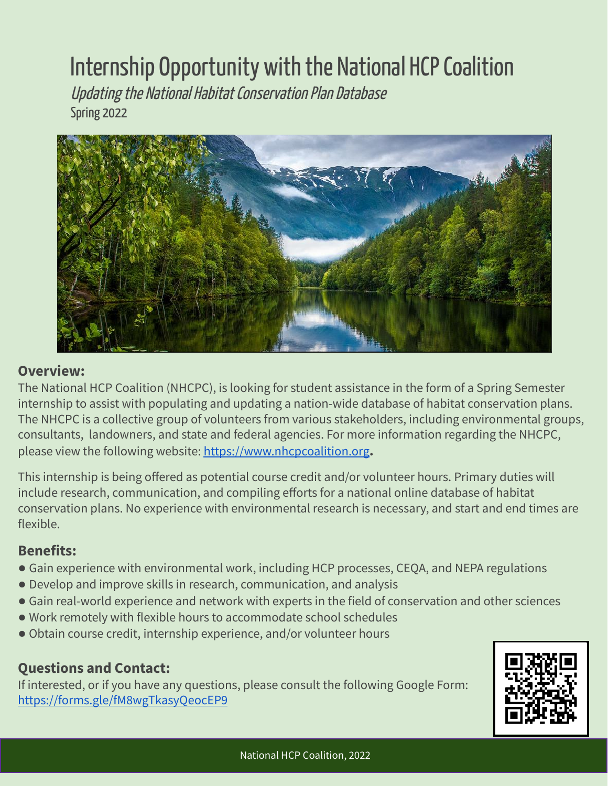## Internship Opportunity with the National HCP Coalition

Updating the National Habitat Conservation Plan Database Spring 2022



## **Overview:**

The National HCP Coalition (NHCPC), is looking for student assistance in the form of a Spring Semester internship to assist with populating and updating a nation-wide database of habitat conservation plans. The NHCPC is a collective group of volunteers from various stakeholders, including environmental groups, consultants, landowners, and state and federal agencies. For more information regarding the NHCPC, please view the following website: <https://www.nhcpcoalition.org>**.**

This internship is being offered as potential course credit and/or volunteer hours. Primary duties will include research, communication, and compiling efforts for a national online database of habitat conservation plans. No experience with environmental research is necessary, and start and end times are flexible.

## **Benefits:**

- **●** Gain experience with environmental work, including HCP processes, CEQA, and NEPA regulations
- **●** Develop and improve skills in research, communication, and analysis
- **●** Gain real-world experience and network with experts in the field of conservation and other sciences
- **●** Work remotely with flexible hours to accommodate school schedules
- **●** Obtain course credit, internship experience, and/or volunteer hours

## **Questions and Contact:**

If interested, or if you have any questions, please consult the following Google Form: <https://forms.gle/fM8wgTkasyQeocEP9>